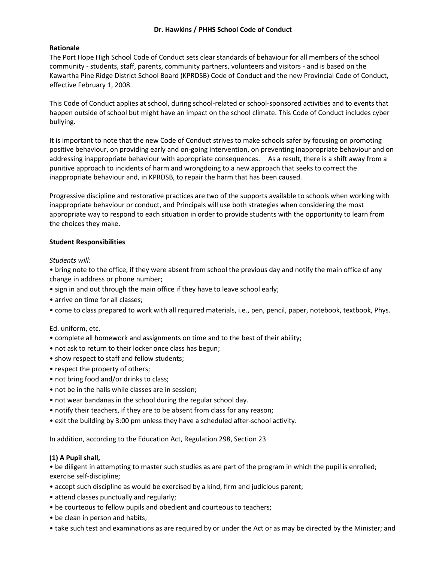# **Dr. Hawkins / PHHS School Code of Conduct**

# **Rationale**

The Port Hope High School Code of Conduct sets clear standards of behaviour for all members of the school community - students, staff, parents, community partners, volunteers and visitors - and is based on the Kawartha Pine Ridge District School Board (KPRDSB) Code of Conduct and the new Provincial Code of Conduct, effective February 1, 2008.

This Code of Conduct applies at school, during school-related or school-sponsored activities and to events that happen outside of school but might have an impact on the school climate. This Code of Conduct includes cyber bullying.

It is important to note that the new Code of Conduct strives to make schools safer by focusing on promoting positive behaviour, on providing early and on-going intervention, on preventing inappropriate behaviour and on addressing inappropriate behaviour with appropriate consequences. As a result, there is a shift away from a punitive approach to incidents of harm and wrongdoing to a new approach that seeks to correct the inappropriate behaviour and, in KPRDSB, to repair the harm that has been caused.

Progressive discipline and restorative practices are two of the supports available to schools when working with inappropriate behaviour or conduct, and Principals will use both strategies when considering the most appropriate way to respond to each situation in order to provide students with the opportunity to learn from the choices they make.

## **Student Responsibilities**

## *Students will:*

• bring note to the office, if they were absent from school the previous day and notify the main office of any change in address or phone number;

- sign in and out through the main office if they have to leave school early;
- arrive on time for all classes:
- come to class prepared to work with all required materials, i.e., pen, pencil, paper, notebook, textbook, Phys.

## Ed. uniform, etc.

- complete all homework and assignments on time and to the best of their ability;
- not ask to return to their locker once class has begun;
- show respect to staff and fellow students;
- respect the property of others;
- not bring food and/or drinks to class;
- not be in the halls while classes are in session;
- not wear bandanas in the school during the regular school day.
- notify their teachers, if they are to be absent from class for any reason;
- exit the building by 3:00 pm unless they have a scheduled after-school activity.

In addition, according to the Education Act, Regulation 298, Section 23

## **(1) A Pupil shall,**

• be diligent in attempting to master such studies as are part of the program in which the pupil is enrolled; exercise self-discipline;

- accept such discipline as would be exercised by a kind, firm and judicious parent;
- attend classes punctually and regularly;
- be courteous to fellow pupils and obedient and courteous to teachers;
- be clean in person and habits;
- take such test and examinations as are required by or under the Act or as may be directed by the Minister; and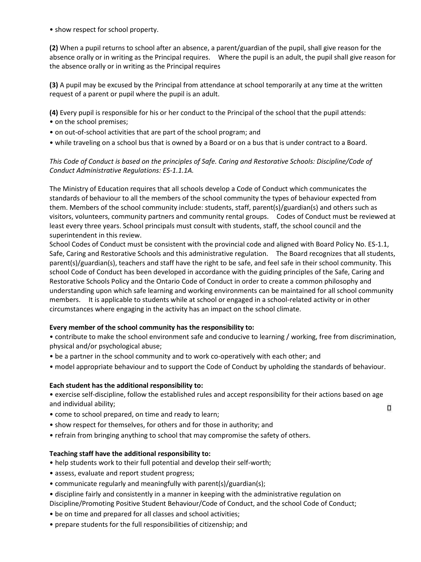• show respect for school property.

**(2)** When a pupil returns to school after an absence, a parent/guardian of the pupil, shall give reason for the absence orally or in writing as the Principal requires. Where the pupil is an adult, the pupil shall give reason for the absence orally or in writing as the Principal requires

**(3)** A pupil may be excused by the Principal from attendance at school temporarily at any time at the written request of a parent or pupil where the pupil is an adult.

**(4)** Every pupil is responsible for his or her conduct to the Principal of the school that the pupil attends:

- on the school premises;
- on out-of-school activities that are part of the school program; and
- while traveling on a school bus that is owned by a Board or on a bus that is under contract to a Board.

# *This Code of Conduct is based on the principles of Safe. Caring and Restorative Schools: Discipline/Code of Conduct Administrative Regulations: ES-1.1.1A.*

The Ministry of Education requires that all schools develop a Code of Conduct which communicates the standards of behaviour to all the members of the school community the types of behaviour expected from them. Members of the school community include: students, staff, parent(s)/guardian(s) and others such as visitors, volunteers, community partners and community rental groups. Codes of Conduct must be reviewed at least every three years. School principals must consult with students, staff, the school council and the superintendent in this review.

School Codes of Conduct must be consistent with the provincial code and aligned with Board Policy No. ES-1.1, Safe, Caring and Restorative Schools and this administrative regulation. The Board recognizes that all students, parent(s)/guardian(s), teachers and staff have the right to be safe, and feel safe in their school community. This school Code of Conduct has been developed in accordance with the guiding principles of the Safe, Caring and Restorative Schools Policy and the Ontario Code of Conduct in order to create a common philosophy and understanding upon which safe learning and working environments can be maintained for all school community members. It is applicable to students while at school or engaged in a school-related activity or in other circumstances where engaging in the activity has an impact on the school climate.

# **Every member of the school community has the responsibility to:**

• contribute to make the school environment safe and conducive to learning / working, free from discrimination, physical and/or psychological abuse;

- be a partner in the school community and to work co-operatively with each other; and
- model appropriate behaviour and to support the Code of Conduct by upholding the standards of behaviour.

# **Each student has the additional responsibility to:**

• exercise self-discipline, follow the established rules and accept responsibility for their actions based on age and individual ability;

α

- come to school prepared, on time and ready to learn;
- show respect for themselves, for others and for those in authority; and
- refrain from bringing anything to school that may compromise the safety of others.

## **Teaching staff have the additional responsibility to:**

- help students work to their full potential and develop their self-worth;
- assess, evaluate and report student progress;
- communicate regularly and meaningfully with parent(s)/guardian(s);
- discipline fairly and consistently in a manner in keeping with the administrative regulation on
- Discipline/Promoting Positive Student Behaviour/Code of Conduct, and the school Code of Conduct;
- be on time and prepared for all classes and school activities;
- prepare students for the full responsibilities of citizenship; and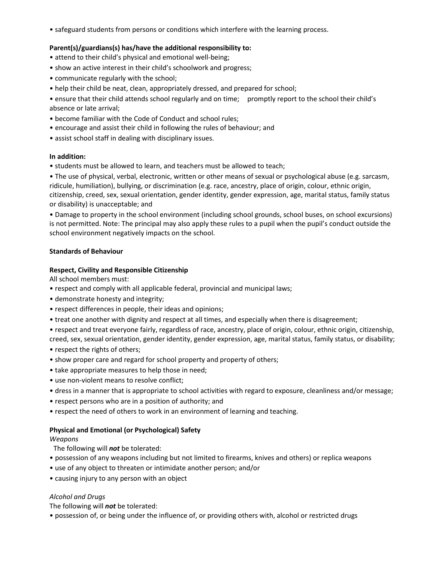• safeguard students from persons or conditions which interfere with the learning process.

# **Parent(s)/guardians(s) has/have the additional responsibility to:**

- attend to their child's physical and emotional well-being;
- show an active interest in their child's schoolwork and progress;
- communicate regularly with the school;
- help their child be neat, clean, appropriately dressed, and prepared for school;
- ensure that their child attends school regularly and on time; promptly report to the school their child's absence or late arrival;
- become familiar with the Code of Conduct and school rules;
- encourage and assist their child in following the rules of behaviour; and
- assist school staff in dealing with disciplinary issues.

## **In addition:**

• students must be allowed to learn, and teachers must be allowed to teach;

• The use of physical, verbal, electronic, written or other means of sexual or psychological abuse (e.g. sarcasm, ridicule, humiliation), bullying, or discrimination (e.g. race, ancestry, place of origin, colour, ethnic origin, citizenship, creed, sex, sexual orientation, gender identity, gender expression, age, marital status, family status or disability) is unacceptable; and

• Damage to property in the school environment (including school grounds, school buses, on school excursions) is not permitted. Note: The principal may also apply these rules to a pupil when the pupil's conduct outside the school environment negatively impacts on the school.

# **Standards of Behaviour**

# **Respect, Civility and Responsible Citizenship**

All school members must:

- respect and comply with all applicable federal, provincial and municipal laws;
- demonstrate honesty and integrity;
- respect differences in people, their ideas and opinions;
- treat one another with dignity and respect at all times, and especially when there is disagreement;
- respect and treat everyone fairly, regardless of race, ancestry, place of origin, colour, ethnic origin, citizenship, creed, sex, sexual orientation, gender identity, gender expression, age, marital status, family status, or disability;
- respect the rights of others;
- show proper care and regard for school property and property of others;
- take appropriate measures to help those in need;
- use non-violent means to resolve conflict;
- dress in a manner that is appropriate to school activities with regard to exposure, cleanliness and/or message;
- respect persons who are in a position of authority; and
- respect the need of others to work in an environment of learning and teaching.

## **Physical and Emotional (or Psychological) Safety**

## *Weapons*

The following will *not* be tolerated:

- possession of any weapons including but not limited to firearms, knives and others) or replica weapons
- use of any object to threaten or intimidate another person; and/or
- causing injury to any person with an object

# *Alcohol and Drugs*

The following will *not* be tolerated:

• possession of, or being under the influence of, or providing others with, alcohol or restricted drugs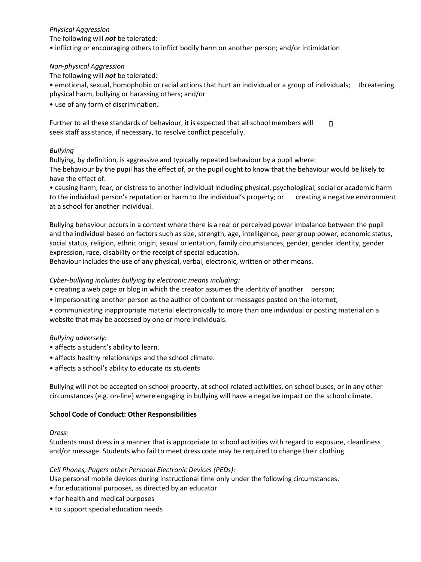# *Physical Aggression*

The following will *not* be tolerated:

• inflicting or encouraging others to inflict bodily harm on another person; and/or intimidation

# *Non-physical Aggression*

The following will *not* be tolerated:

• emotional, sexual, homophobic or racial actions that hurt an individual or a group of individuals; threatening physical harm, bullying or harassing others; and/or

• use of any form of discrimination.

Further to all these standards of behaviour, it is expected that all school members will п seek staff assistance, if necessary, to resolve conflict peacefully.

# *Bullying*

Bullying, by definition, is aggressive and typically repeated behaviour by a pupil where: The behaviour by the pupil has the effect of, or the pupil ought to know that the behaviour would be likely to have the effect of:

• causing harm, fear, or distress to another individual including physical, psychological, social or academic harm to the individual person's reputation or harm to the individual's property; or creating a negative environment at a school for another individual.

Bullying behaviour occurs in a context where there is a real or perceived power imbalance between the pupil and the individual based on factors such as size, strength, age, intelligence, peer group power, economic status, social status, religion, ethnic origin, sexual orientation, family circumstances, gender, gender identity, gender expression, race, disability or the receipt of special education.

Behaviour includes the use of any physical, verbal, electronic, written or other means.

# *Cyber-bullying includes bullying by electronic means including:*

- creating a web page or blog in which the creator assumes the identity of another person;
- impersonating another person as the author of content or messages posted on the internet;
- communicating inappropriate material electronically to more than one individual or posting material on a website that may be accessed by one or more individuals.

## *Bullying adversely:*

- affects a student's ability to learn.
- affects healthy relationships and the school climate.
- affects a school's ability to educate its students

Bullying will not be accepted on school property, at school related activities, on school buses, or in any other circumstances (e.g. on-line) where engaging in bullying will have a negative impact on the school climate.

## **School Code of Conduct: Other Responsibilities**

## *Dress:*

Students must dress in a manner that is appropriate to school activities with regard to exposure, cleanliness and/or message. Students who fail to meet dress code may be required to change their clothing.

## *Cell Phones, Pagers other Personal Electronic Devices (PEDs):*

- Use personal mobile devices during instructional time only under the following circumstances:
- for educational purposes, as directed by an educator
- for health and medical purposes
- to support special education needs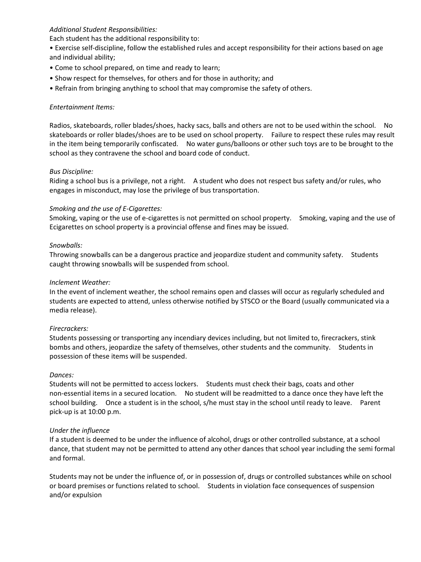# *Additional Student Responsibilities:*

Each student has the additional responsibility to:

- Exercise self-discipline, follow the established rules and accept responsibility for their actions based on age and individual ability;
- Come to school prepared, on time and ready to learn;
- Show respect for themselves, for others and for those in authority; and
- Refrain from bringing anything to school that may compromise the safety of others.

# *Entertainment Items:*

Radios, skateboards, roller blades/shoes, hacky sacs, balls and others are not to be used within the school. No skateboards or roller blades/shoes are to be used on school property. Failure to respect these rules may result in the item being temporarily confiscated. No water guns/balloons or other such toys are to be brought to the school as they contravene the school and board code of conduct.

# *Bus Discipline:*

Riding a school bus is a privilege, not a right. A student who does not respect bus safety and/or rules, who engages in misconduct, may lose the privilege of bus transportation.

# *Smoking and the use of E-Cigarettes:*

Smoking, vaping or the use of e-cigarettes is not permitted on school property. Smoking, vaping and the use of Ecigarettes on school property is a provincial offense and fines may be issued.

# *Snowballs:*

Throwing snowballs can be a dangerous practice and jeopardize student and community safety. Students caught throwing snowballs will be suspended from school.

# *Inclement Weather:*

In the event of inclement weather, the school remains open and classes will occur as regularly scheduled and students are expected to attend, unless otherwise notified by STSCO or the Board (usually communicated via a media release).

## *Firecrackers:*

Students possessing or transporting any incendiary devices including, but not limited to, firecrackers, stink bombs and others, jeopardize the safety of themselves, other students and the community. Students in possession of these items will be suspended.

## *Dances:*

Students will not be permitted to access lockers. Students must check their bags, coats and other non-essential items in a secured location. No student will be readmitted to a dance once they have left the school building. Once a student is in the school, s/he must stay in the school until ready to leave. Parent pick-up is at 10:00 p.m.

## *Under the influence*

If a student is deemed to be under the influence of alcohol, drugs or other controlled substance, at a school dance, that student may not be permitted to attend any other dances that school year including the semi formal and formal.

Students may not be under the influence of, or in possession of, drugs or controlled substances while on school or board premises or functions related to school. Students in violation face consequences of suspension and/or expulsion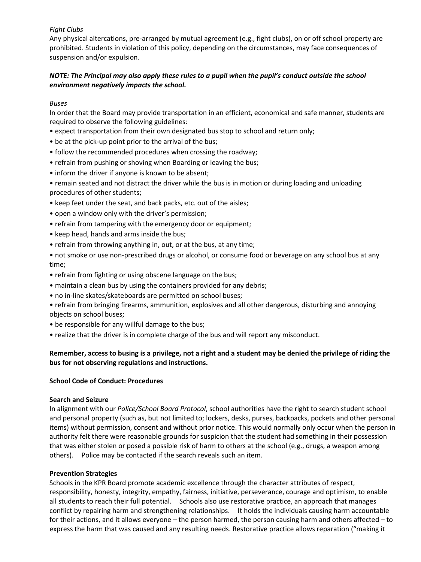# *Fight Clubs*

Any physical altercations, pre-arranged by mutual agreement (e.g., fight clubs), on or off school property are prohibited. Students in violation of this policy, depending on the circumstances, may face consequences of suspension and/or expulsion.

# *NOTE: The Principal may also apply these rules to a pupil when the pupil's conduct outside the school environment negatively impacts the school.*

# *Buses*

In order that the Board may provide transportation in an efficient, economical and safe manner, students are required to observe the following guidelines:

- expect transportation from their own designated bus stop to school and return only;
- be at the pick-up point prior to the arrival of the bus;
- follow the recommended procedures when crossing the roadway;
- refrain from pushing or shoving when Boarding or leaving the bus;
- inform the driver if anyone is known to be absent;

• remain seated and not distract the driver while the bus is in motion or during loading and unloading procedures of other students;

- keep feet under the seat, and back packs, etc. out of the aisles;
- open a window only with the driver's permission;
- refrain from tampering with the emergency door or equipment;
- keep head, hands and arms inside the bus;
- refrain from throwing anything in, out, or at the bus, at any time;

• not smoke or use non-prescribed drugs or alcohol, or consume food or beverage on any school bus at any time;

- refrain from fighting or using obscene language on the bus;
- maintain a clean bus by using the containers provided for any debris;
- no in-line skates/skateboards are permitted on school buses;
- refrain from bringing firearms, ammunition, explosives and all other dangerous, disturbing and annoying objects on school buses;
- be responsible for any willful damage to the bus;
- realize that the driver is in complete charge of the bus and will report any misconduct.

# **Remember, access to busing is a privilege, not a right and a student may be denied the privilege of riding the bus for not observing regulations and instructions.**

## **School Code of Conduct: Procedures**

## **Search and Seizure**

In alignment with our *Police/School Board Protocol*, school authorities have the right to search student school and personal property (such as, but not limited to; lockers, desks, purses, backpacks, pockets and other personal items) without permission, consent and without prior notice. This would normally only occur when the person in authority felt there were reasonable grounds for suspicion that the student had something in their possession that was either stolen or posed a possible risk of harm to others at the school (e.g., drugs, a weapon among others). Police may be contacted if the search reveals such an item.

## **Prevention Strategies**

Schools in the KPR Board promote academic excellence through the character attributes of respect, responsibility, honesty, integrity, empathy, fairness, initiative, perseverance, courage and optimism, to enable all students to reach their full potential. Schools also use restorative practice, an approach that manages conflict by repairing harm and strengthening relationships. It holds the individuals causing harm accountable for their actions, and it allows everyone – the person harmed, the person causing harm and others affected – to express the harm that was caused and any resulting needs. Restorative practice allows reparation ("making it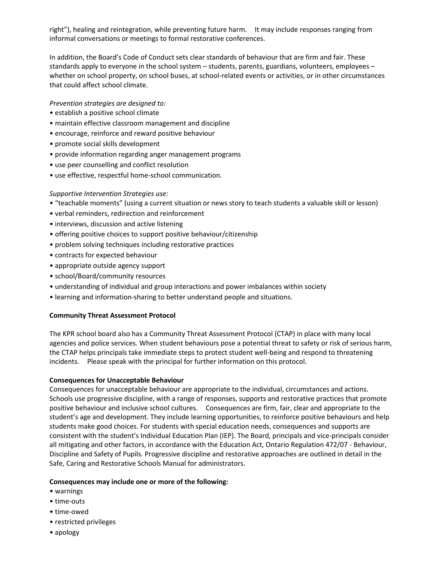right"), healing and reintegration, while preventing future harm. It may include responses ranging from informal conversations or meetings to formal restorative conferences.

In addition, the Board's Code of Conduct sets clear standards of behaviour that are firm and fair. These standards apply to everyone in the school system – students, parents, guardians, volunteers, employees – whether on school property, on school buses, at school-related events or activities, or in other circumstances that could affect school climate.

*Prevention strategies are designed to:* 

- establish a positive school climate
- maintain effective classroom management and discipline
- encourage, reinforce and reward positive behaviour
- promote social skills development
- provide information regarding anger management programs
- use peer counselling and conflict resolution
- use effective, respectful home-school communication*.*

# *Supportive Intervention Strategies use:*

- "teachable moments" (using a current situation or news story to teach students a valuable skill or lesson)
- verbal reminders, redirection and reinforcement
- interviews, discussion and active listening
- offering positive choices to support positive behaviour/citizenship
- problem solving techniques including restorative practices
- contracts for expected behaviour
- appropriate outside agency support
- school/Board/community resources
- understanding of individual and group interactions and power imbalances within society
- learning and information-sharing to better understand people and situations.

## **Community Threat Assessment Protocol**

The KPR school board also has a Community Threat Assessment Protocol (CTAP) in place with many local agencies and police services. When student behaviours pose a potential threat to safety or risk of serious harm, the CTAP helps principals take immediate steps to protect student well-being and respond to threatening incidents. Please speak with the principal for further information on this protocol.

## **Consequences for Unacceptable Behaviour**

Consequences for unacceptable behaviour are appropriate to the individual, circumstances and actions. Schools use progressive discipline, with a range of responses, supports and restorative practices that promote positive behaviour and inclusive school cultures. Consequences are firm, fair, clear and appropriate to the student's age and development. They include learning opportunities, to reinforce positive behaviours and help students make good choices. For students with special education needs, consequences and supports are consistent with the student's Individual Education Plan (IEP). The Board, principals and vice-principals consider all mitigating and other factors, in accordance with the Education Act, Ontario Regulation 472/07 - Behaviour, Discipline and Safety of Pupils. Progressive discipline and restorative approaches are outlined in detail in the Safe, Caring and Restorative Schools Manual for administrators.

## **Consequences may include one or more of the following:**

- warnings
- time-outs
- time-owed
- restricted privileges
- apology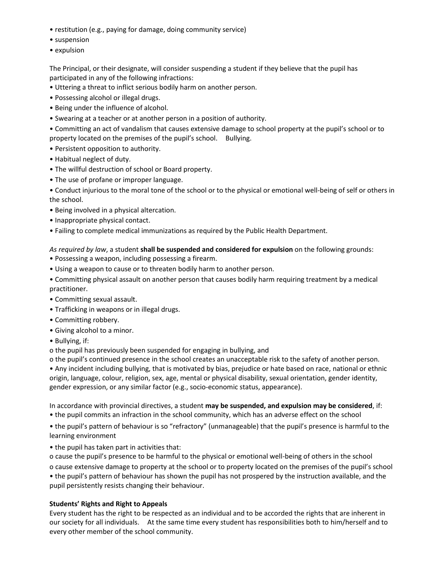- restitution (e.g., paying for damage, doing community service)
- suspension
- expulsion

The Principal, or their designate, will consider suspending a student if they believe that the pupil has participated in any of the following infractions:

- Uttering a threat to inflict serious bodily harm on another person.
- Possessing alcohol or illegal drugs.
- Being under the influence of alcohol.
- Swearing at a teacher or at another person in a position of authority.
- Committing an act of vandalism that causes extensive damage to school property at the pupil's school or to property located on the premises of the pupil's school. Bullying.
- Persistent opposition to authority.
- Habitual neglect of duty.
- The willful destruction of school or Board property.
- The use of profane or improper language.
- Conduct injurious to the moral tone of the school or to the physical or emotional well-being of self or others in the school.
- Being involved in a physical altercation.
- Inappropriate physical contact.
- Failing to complete medical immunizations as required by the Public Health Department.

## *As required by law*, a student **shall be suspended and considered for expulsion** on the following grounds:

- Possessing a weapon, including possessing a firearm.
- Using a weapon to cause or to threaten bodily harm to another person.
- Committing physical assault on another person that causes bodily harm requiring treatment by a medical practitioner.
- Committing sexual assault.
- Trafficking in weapons or in illegal drugs.
- Committing robbery.
- Giving alcohol to a minor.
- Bullying, if:

o the pupil has previously been suspended for engaging in bullying, and

o the pupil's continued presence in the school creates an unacceptable risk to the safety of another person.

• Any incident including bullying, that is motivated by bias, prejudice or hate based on race, national or ethnic origin, language, colour, religion, sex, age, mental or physical disability, sexual orientation, gender identity, gender expression, or any similar factor (e.g., socio-economic status, appearance).

In accordance with provincial directives, a student **may be suspended, and expulsion may be considered**, if: • the pupil commits an infraction in the school community, which has an adverse effect on the school

• the pupil's pattern of behaviour is so "refractory" (unmanageable) that the pupil's presence is harmful to the learning environment

- the pupil has taken part in activities that:
- o cause the pupil's presence to be harmful to the physical or emotional well-being of others in the school
- o cause extensive damage to property at the school or to property located on the premises of the pupil's school

• the pupil's pattern of behaviour has shown the pupil has not prospered by the instruction available, and the pupil persistently resists changing their behaviour.

## **Students' Rights and Right to Appeals**

Every student has the right to be respected as an individual and to be accorded the rights that are inherent in our society for all individuals. At the same time every student has responsibilities both to him/herself and to every other member of the school community.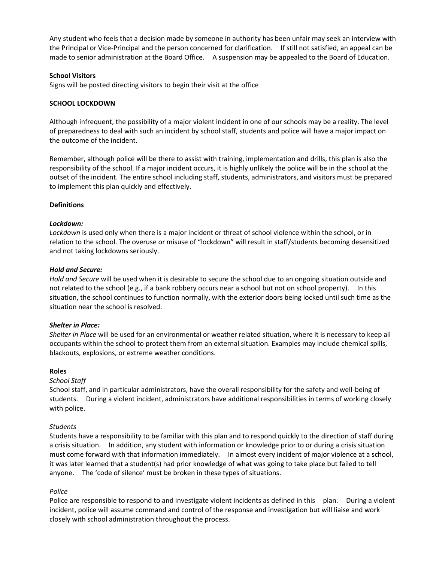Any student who feels that a decision made by someone in authority has been unfair may seek an interview with the Principal or Vice-Principal and the person concerned for clarification. If still not satisfied, an appeal can be made to senior administration at the Board Office. A suspension may be appealed to the Board of Education.

# **School Visitors**

Signs will be posted directing visitors to begin their visit at the office

# **SCHOOL LOCKDOWN**

Although infrequent, the possibility of a major violent incident in one of our schools may be a reality. The level of preparedness to deal with such an incident by school staff, students and police will have a major impact on the outcome of the incident.

Remember, although police will be there to assist with training, implementation and drills, this plan is also the responsibility of the school. If a major incident occurs, it is highly unlikely the police will be in the school at the outset of the incident. The entire school including staff, students, administrators, and visitors must be prepared to implement this plan quickly and effectively.

# **Definitions**

# *Lockdown:*

*Lockdown* is used only when there is a major incident or threat of school violence within the school, or in relation to the school. The overuse or misuse of "lockdown" will result in staff/students becoming desensitized and not taking lockdowns seriously.

## *Hold and Secure:*

*Hold and Secure* will be used when it is desirable to secure the school due to an ongoing situation outside and not related to the school (e.g., if a bank robbery occurs near a school but not on school property). In this situation, the school continues to function normally, with the exterior doors being locked until such time as the situation near the school is resolved.

## *Shelter in Place:*

*Shelter in Place* will be used for an environmental or weather related situation, where it is necessary to keep all occupants within the school to protect them from an external situation. Examples may include chemical spills, blackouts, explosions, or extreme weather conditions.

## **Roles**

# *School Staff*

School staff, and in particular administrators, have the overall responsibility for the safety and well-being of students. During a violent incident, administrators have additional responsibilities in terms of working closely with police.

# *Students*

Students have a responsibility to be familiar with this plan and to respond quickly to the direction of staff during a crisis situation. In addition, any student with information or knowledge prior to or during a crisis situation must come forward with that information immediately. In almost every incident of major violence at a school, it was later learned that a student(s) had prior knowledge of what was going to take place but failed to tell anyone. The 'code of silence' must be broken in these types of situations.

# *Police*

Police are responsible to respond to and investigate violent incidents as defined in this plan. During a violent incident, police will assume command and control of the response and investigation but will liaise and work closely with school administration throughout the process.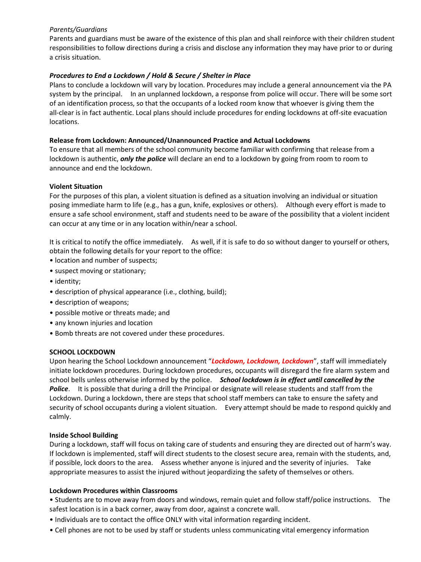# *Parents/Guardians*

Parents and guardians must be aware of the existence of this plan and shall reinforce with their children student responsibilities to follow directions during a crisis and disclose any information they may have prior to or during a crisis situation.

# *Procedures to End a Lockdown / Hold & Secure / Shelter in Place*

Plans to conclude a lockdown will vary by location. Procedures may include a general announcement via the PA system by the principal. In an unplanned lockdown, a response from police will occur. There will be some sort of an identification process, so that the occupants of a locked room know that whoever is giving them the all-clear is in fact authentic. Local plans should include procedures for ending lockdowns at off-site evacuation locations.

# **Release from Lockdown: Announced/Unannounced Practice and Actual Lockdowns**

To ensure that all members of the school community become familiar with confirming that release from a lockdown is authentic, *only the police* will declare an end to a lockdown by going from room to room to announce and end the lockdown.

# **Violent Situation**

For the purposes of this plan, a violent situation is defined as a situation involving an individual or situation posing immediate harm to life (e.g., has a gun, knife, explosives or others). Although every effort is made to ensure a safe school environment, staff and students need to be aware of the possibility that a violent incident can occur at any time or in any location within/near a school.

It is critical to notify the office immediately. As well, if it is safe to do so without danger to yourself or others, obtain the following details for your report to the office:

- location and number of suspects;
- suspect moving or stationary;
- identity;
- description of physical appearance (i.e., clothing, build);
- description of weapons;
- possible motive or threats made; and
- any known injuries and location
- Bomb threats are not covered under these procedures.

## **SCHOOL LOCKDOWN**

Upon hearing the School Lockdown announcement "*Lockdown, Lockdown, Lockdown*", staff will immediately initiate lockdown procedures. During lockdown procedures, occupants will disregard the fire alarm system and school bells unless otherwise informed by the police. *School lockdown is in effect until cancelled by the Police*. It is possible that during a drill the Principal or designate will release students and staff from the Lockdown. During a lockdown, there are steps that school staff members can take to ensure the safety and security of school occupants during a violent situation. Every attempt should be made to respond quickly and calmly.

## **Inside School Building**

During a lockdown, staff will focus on taking care of students and ensuring they are directed out of harm's way. If lockdown is implemented, staff will direct students to the closest secure area, remain with the students, and, if possible, lock doors to the area. Assess whether anyone is injured and the severity of injuries. Take appropriate measures to assist the injured without jeopardizing the safety of themselves or others.

## **Lockdown Procedures within Classrooms**

• Students are to move away from doors and windows, remain quiet and follow staff/police instructions. The safest location is in a back corner, away from door, against a concrete wall.

- Individuals are to contact the office ONLY with vital information regarding incident.
- Cell phones are not to be used by staff or students unless communicating vital emergency information